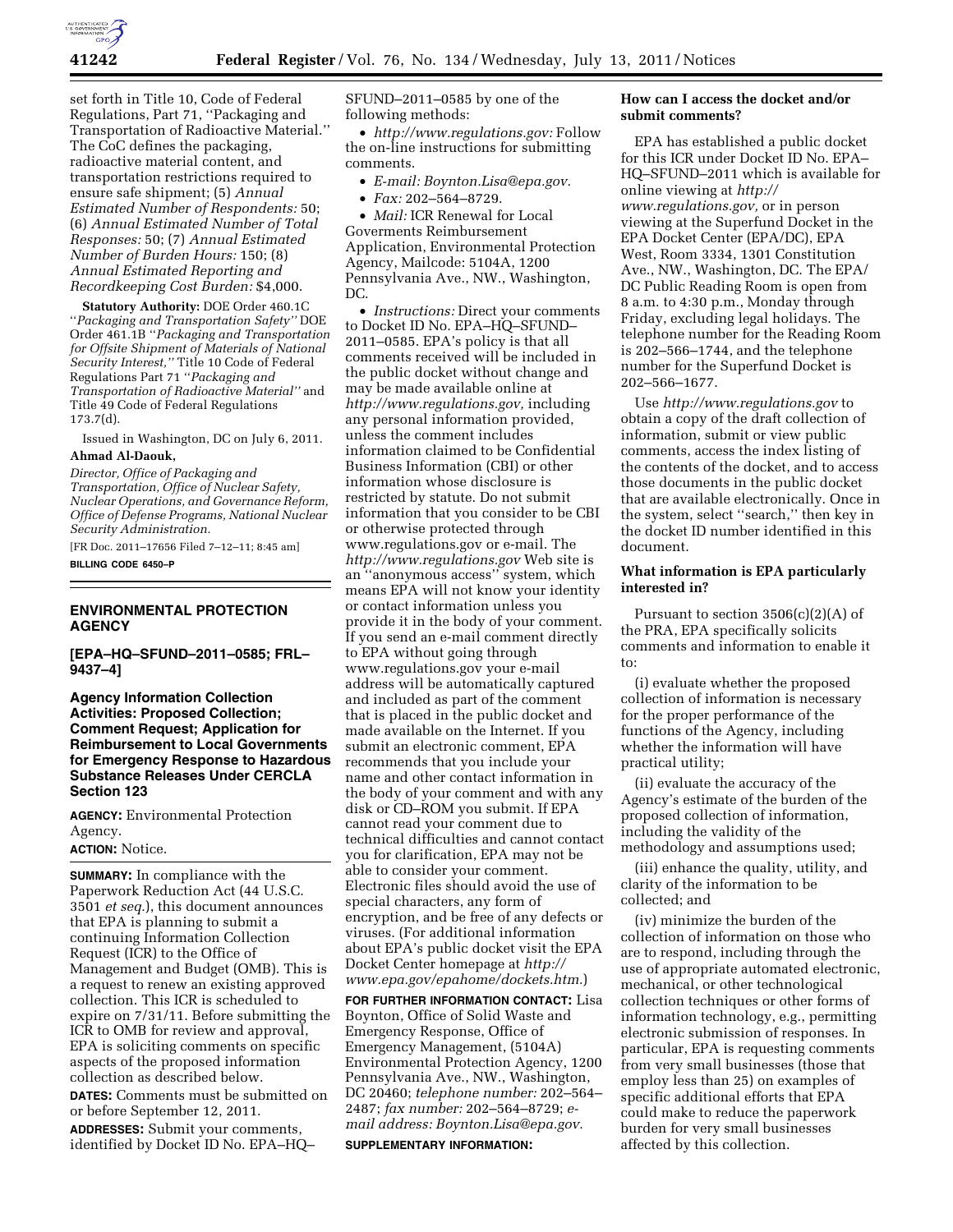

set forth in Title 10, Code of Federal Regulations, Part 71, ''Packaging and Transportation of Radioactive Material.'' The CoC defines the packaging, radioactive material content, and transportation restrictions required to ensure safe shipment; (5) *Annual Estimated Number of Respondents:* 50; (6) *Annual Estimated Number of Total Responses:* 50; (7) *Annual Estimated Number of Burden Hours:* 150; (8) *Annual Estimated Reporting and Recordkeeping Cost Burden:* \$4,000.

**Statutory Authority:** DOE Order 460.1C ''*Packaging and Transportation Safety''* DOE Order 461.1B ''*Packaging and Transportation for Offsite Shipment of Materials of National Security Interest,''* Title 10 Code of Federal Regulations Part 71 ''*Packaging and Transportation of Radioactive Material''* and Title 49 Code of Federal Regulations 173.7(d).

Issued in Washington, DC on July 6, 2011. **Ahmad Al-Daouk,** 

*Director, Office of Packaging and Transportation, Office of Nuclear Safety, Nuclear Operations, and Governance Reform, Office of Defense Programs, National Nuclear Security Administration.* 

[FR Doc. 2011–17656 Filed 7–12–11; 8:45 am] **BILLING CODE 6450–P** 

#### **ENVIRONMENTAL PROTECTION AGENCY**

**[EPA–HQ–SFUND–2011–0585; FRL– 9437–4]** 

**Agency Information Collection Activities: Proposed Collection; Comment Request; Application for Reimbursement to Local Governments for Emergency Response to Hazardous Substance Releases Under CERCLA Section 123** 

**AGENCY:** Environmental Protection Agency.

# **ACTION:** Notice.

**SUMMARY:** In compliance with the Paperwork Reduction Act (44 U.S.C. 3501 *et seq.*), this document announces that EPA is planning to submit a continuing Information Collection Request (ICR) to the Office of Management and Budget (OMB). This is a request to renew an existing approved collection. This ICR is scheduled to expire on 7/31/11. Before submitting the ICR to OMB for review and approval, EPA is soliciting comments on specific aspects of the proposed information collection as described below. **DATES:** Comments must be submitted on or before September 12, 2011. **ADDRESSES:** Submit your comments, identified by Docket ID No. EPA–HQ–

SFUND–2011–0585 by one of the following methods:

• *[http://www.regulations.gov:](http://www.regulations.gov)* Follow the on-line instructions for submitting comments.

- *E-mail: [Boynton.Lisa@epa.gov.](mailto:Boynton.Lisa@epa.gov)*
- *Fax:* 202–564–8729.

• *Mail:* ICR Renewal for Local Goverments Reimbursement Application, Environmental Protection Agency, Mailcode: 5104A, 1200 Pennsylvania Ave., NW., Washington, DC.

• *Instructions:* Direct your comments to Docket ID No. EPA–HQ–SFUND– 2011–0585. EPA's policy is that all comments received will be included in the public docket without change and may be made available online at *[http://www.regulations.gov,](http://www.regulations.gov)* including any personal information provided, unless the comment includes information claimed to be Confidential Business Information (CBI) or other information whose disclosure is restricted by statute. Do not submit information that you consider to be CBI or otherwise protected through [www.regulations.gov](http://www.regulations.gov) or e-mail. The *<http://www.regulations.gov>* Web site is an ''anonymous access'' system, which means EPA will not know your identity or contact information unless you provide it in the body of your comment. If you send an e-mail comment directly to EPA without going through [www.regulations.gov](http://www.regulations.gov) your e-mail address will be automatically captured and included as part of the comment that is placed in the public docket and made available on the Internet. If you submit an electronic comment, EPA recommends that you include your name and other contact information in the body of your comment and with any disk or CD–ROM you submit. If EPA cannot read your comment due to technical difficulties and cannot contact you for clarification, EPA may not be able to consider your comment. Electronic files should avoid the use of special characters, any form of encryption, and be free of any defects or viruses. (For additional information about EPA's public docket visit the EPA Docket Center homepage at *[http://](http://www.epa.gov/epahome/dockets.htm) [www.epa.gov/epahome/dockets.htm.](http://www.epa.gov/epahome/dockets.htm)*)

**FOR FURTHER INFORMATION CONTACT:** Lisa Boynton, Office of Solid Waste and Emergency Response, Office of Emergency Management, (5104A) Environmental Protection Agency, 1200 Pennsylvania Ave., NW., Washington, DC 20460; *telephone number:* 202–564– 2487; *fax number:* 202–564–8729; *email address: [Boynton.Lisa@epa.gov.](mailto:Boynton.Lisa@epa.gov)*  **SUPPLEMENTARY INFORMATION:** 

# **How can I access the docket and/or submit comments?**

EPA has established a public docket for this ICR under Docket ID No. EPA– HQ–SFUND–2011 which is available for online viewing at *[http://](http://www.regulations.gov)  [www.regulations.gov,](http://www.regulations.gov)* or in person viewing at the Superfund Docket in the EPA Docket Center (EPA/DC), EPA West, Room 3334, 1301 Constitution Ave., NW., Washington, DC. The EPA/ DC Public Reading Room is open from 8 a.m. to 4:30 p.m., Monday through Friday, excluding legal holidays. The telephone number for the Reading Room is 202–566–1744, and the telephone number for the Superfund Docket is 202–566–1677.

Use *<http://www.regulations.gov>* to obtain a copy of the draft collection of information, submit or view public comments, access the index listing of the contents of the docket, and to access those documents in the public docket that are available electronically. Once in the system, select ''search,'' then key in the docket ID number identified in this document.

# **What information is EPA particularly interested in?**

Pursuant to section  $3506(c)(2)(A)$  of the PRA, EPA specifically solicits comments and information to enable it to:

(i) evaluate whether the proposed collection of information is necessary for the proper performance of the functions of the Agency, including whether the information will have practical utility;

(ii) evaluate the accuracy of the Agency's estimate of the burden of the proposed collection of information, including the validity of the methodology and assumptions used;

(iii) enhance the quality, utility, and clarity of the information to be collected; and

(iv) minimize the burden of the collection of information on those who are to respond, including through the use of appropriate automated electronic, mechanical, or other technological collection techniques or other forms of information technology, e.g., permitting electronic submission of responses. In particular, EPA is requesting comments from very small businesses (those that employ less than 25) on examples of specific additional efforts that EPA could make to reduce the paperwork burden for very small businesses affected by this collection.